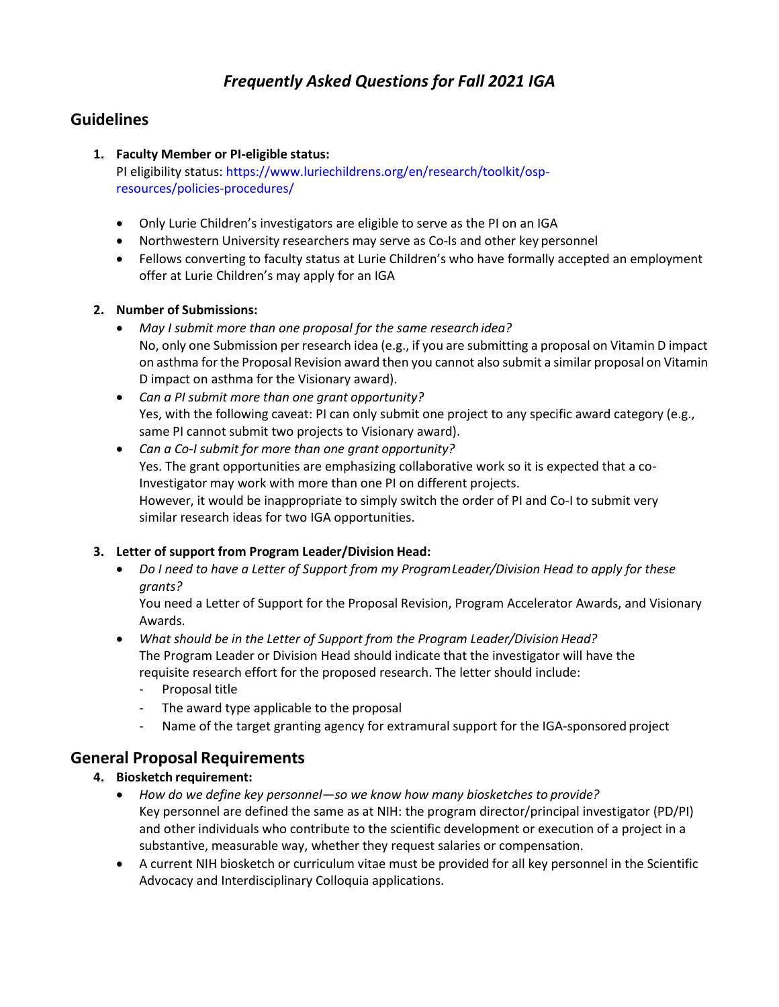# *Frequently Asked Questions for Fall 2021 IGA*

## **Guidelines**

#### **1. Faculty Member or PI-eligible status:**

PI eligibility status[: https://www.luriechildrens.org/en/research/toolkit/osp](https://www.luriechildrens.org/en/research/toolkit/osp-resources/policies-procedures/)[resources/policies-procedures/](https://www.luriechildrens.org/en/research/toolkit/osp-resources/policies-procedures/)

- Only Lurie Children's investigators are eligible to serve as the PI on an IGA
- Northwestern University researchers may serve as Co-Is and other key personnel
- Fellows converting to faculty status at Lurie Children's who have formally accepted an employment offer at Lurie Children's may apply for an IGA

#### **2. Number of Submissions:**

- *May I submit more than one proposal for the same research idea?* No, only one Submission per research idea (e.g., if you are submitting a proposal on Vitamin D impact on asthma for the Proposal Revision award then you cannot also submit a similar proposal on Vitamin D impact on asthma for the Visionary award).
- *Can a PI submit more than one grant opportunity?* Yes, with the following caveat: PI can only submit one project to any specific award category (e.g., same PI cannot submit two projects to Visionary award).
- *Can a Co-I submit for more than one grant opportunity?* Yes. The grant opportunities are emphasizing collaborative work so it is expected that a co-Investigator may work with more than one PI on different projects. However, it would be inappropriate to simply switch the order of PI and Co-I to submit very similar research ideas for two IGA opportunities.

### **3. Letter of support from Program Leader/Division Head:**

• *Do I need to have a Letter of Support from my ProgramLeader/Division Head to apply for these grants?*

You need a Letter of Support for the Proposal Revision, Program Accelerator Awards, and Visionary Awards.

- *What should be in the Letter of Support from the Program Leader/Division Head?* The Program Leader or Division Head should indicate that the investigator will have the requisite research effort for the proposed research. The letter should include:
	- Proposal title
	- The award type applicable to the proposal
	- Name of the target granting agency for extramural support for the IGA-sponsored project

### **General Proposal Requirements**

#### **4. Biosketch requirement:**

- *How do we define key personnel—so we know how many biosketches to provide?* Key personnel are defined the same as at NIH: the program director/principal investigator (PD/PI) and other individuals who contribute to the scientific development or execution of a project in a substantive, measurable way, whether they request salaries or compensation.
- A current NIH biosketch or curriculum vitae must be provided for all key personnel in the Scientific Advocacy and Interdisciplinary Colloquia applications.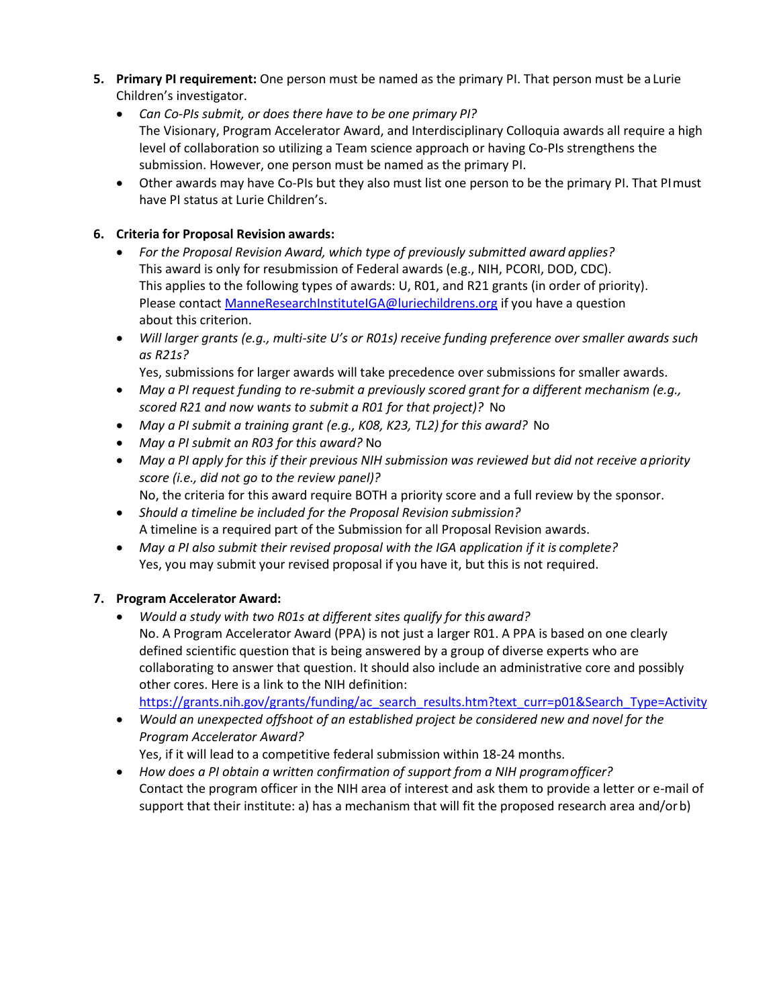- **5. Primary PI requirement:** One person must be named as the primary PI. That person must be a Lurie Children's investigator.
	- *Can Co-PIs submit, or does there have to be one primary PI?* The Visionary, Program Accelerator Award, and Interdisciplinary Colloquia awards all require a high level of collaboration so utilizing a Team science approach or having Co-PIs strengthens the submission. However, one person must be named as the primary PI.
	- Other awards may have Co-PIs but they also must list one person to be the primary PI. That PImust have PI status at Lurie Children's.

#### **6. Criteria for Proposal Revision awards:**

- *For the Proposal Revision Award, which type of previously submitted award applies?* This award is only for resubmission of Federal awards (e.g., NIH, PCORI, DOD, CDC). This applies to the following types of awards: U, R01, and R21 grants (in order of priority). Please contac[t ManneResearchInstituteIGA@luriechildrens.org](mailto:ManneResearchInstituteIGA@luriechildrens.org) if you have a question about this criterion.
- *Will larger grants (e.g., multi-site U's or R01s) receive funding preference over smaller awards such as R21s?*

Yes, submissions for larger awards will take precedence over submissions for smaller awards.

- *May a PI request funding to re-submit a previously scored grant for a different mechanism (e.g., scored R21 and now wants to submit a R01 for that project)?* No
- *May a PI submit a training grant (e.g., K08, K23, TL2) for this award?* No
- *May a PI submit an R03 for this award?* No
- *May a PI apply for this if their previous NIH submission was reviewed but did not receive apriority score (i.e., did not go to the review panel)?* No, the criteria for this award require BOTH a priority score and a full review by the sponsor.
- *Should a timeline be included for the Proposal Revision submission?* A timeline is a required part of the Submission for all Proposal Revision awards.
- *May a PI also submit their revised proposal with the IGA application if it is complete?* Yes, you may submit your revised proposal if you have it, but this is not required.

#### **7. Program Accelerator Award:**

• *Would a study with two R01s at different sites qualify for this award?* No. A Program Accelerator Award (PPA) is not just a larger R01. A PPA is based on one clearly defined scientific question that is being answered by a group of diverse experts who are collaborating to answer that question. It should also include an administrative core and possibly other cores. Here is a link to the NIH definition:

[https://grants.nih.gov/grants/funding/ac\\_search\\_results.htm?text\\_curr=p01&Search\\_Type=Activity](https://grants.nih.gov/grants/funding/ac_search_results.htm?text_curr=p01&Search_Type=Activity)

• *Would an unexpected offshoot of an established project be considered new and novel for the Program Accelerator Award?*

Yes, if it will lead to a competitive federal submission within 18-24 months.

• *How does a PI obtain a written confirmation of support from a NIH programofficer?* Contact the program officer in the NIH area of interest and ask them to provide a letter or e-mail of support that their institute: a) has a mechanism that will fit the proposed research area and/orb)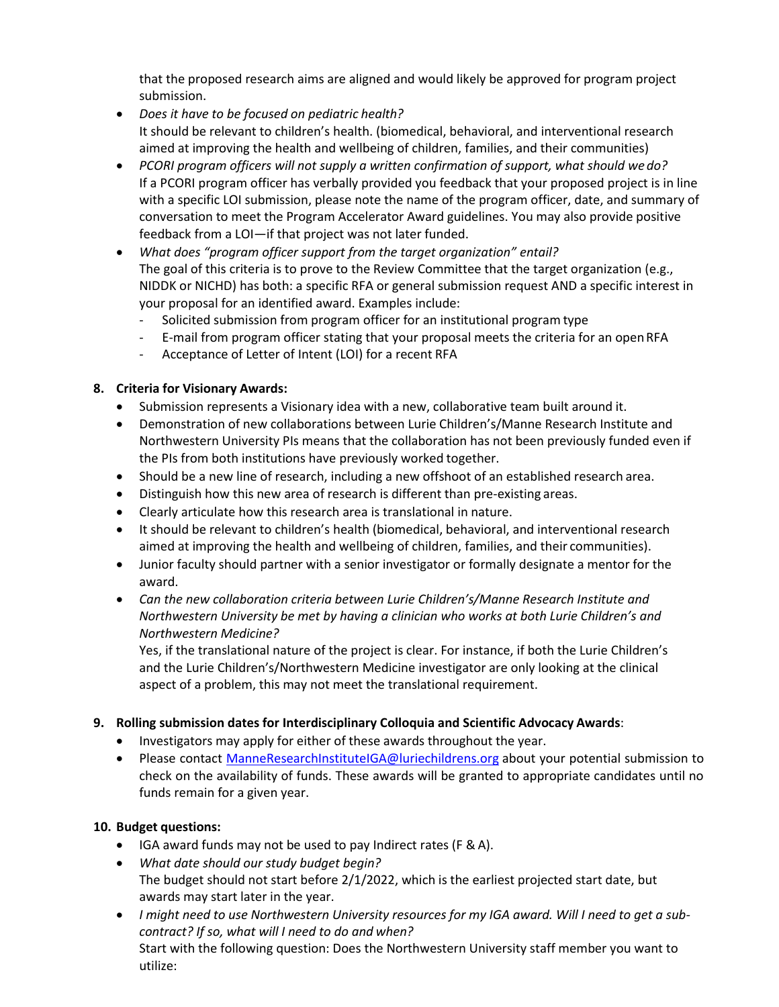that the proposed research aims are aligned and would likely be approved for program project submission.

- *Does it have to be focused on pediatric health?* It should be relevant to children's health. (biomedical, behavioral, and interventional research aimed at improving the health and wellbeing of children, families, and their communities)
- *PCORI program officers will not supply a written confirmation of support, what should we do?* If a PCORI program officer has verbally provided you feedback that your proposed project is in line with a specific LOI submission, please note the name of the program officer, date, and summary of conversation to meet the Program Accelerator Award guidelines. You may also provide positive feedback from a LOI—if that project was not later funded.
- *What does "program officer support from the target organization" entail?* The goal of this criteria is to prove to the Review Committee that the target organization (e.g., NIDDK or NICHD) has both: a specific RFA or general submission request AND a specific interest in your proposal for an identified award. Examples include:
	- Solicited submission from program officer for an institutional program type
	- E-mail from program officer stating that your proposal meets the criteria for an openRFA
	- Acceptance of Letter of Intent (LOI) for a recent RFA

#### **8. Criteria for Visionary Awards:**

- Submission represents a Visionary idea with a new, collaborative team built around it.
- Demonstration of new collaborations between Lurie Children's/Manne Research Institute and Northwestern University PIs means that the collaboration has not been previously funded even if the PIs from both institutions have previously worked together.
- Should be a new line of research, including a new offshoot of an established research area.
- Distinguish how this new area of research is different than pre-existing areas.
- Clearly articulate how this research area is translational in nature.
- It should be relevant to children's health (biomedical, behavioral, and interventional research aimed at improving the health and wellbeing of children, families, and their communities).
- Junior faculty should partner with a senior investigator or formally designate a mentor for the award.
- *Can the new collaboration criteria between Lurie Children's/Manne Research Institute and Northwestern University be met by having a clinician who works at both Lurie Children's and Northwestern Medicine?*

Yes, if the translational nature of the project is clear. For instance, if both the Lurie Children's and the Lurie Children's/Northwestern Medicine investigator are only looking at the clinical aspect of a problem, this may not meet the translational requirement.

#### **9. Rolling submission dates for Interdisciplinary Colloquia and Scientific Advocacy Awards**:

- Investigators may apply for either of these awards throughout the year.
- Please contact [ManneResearchInstituteIGA@luriechildrens.org](mailto:ManneResearchInstituteIGA@luriechildrens.org) about your potential submission to check on the availability of funds. These awards will be granted to appropriate candidates until no funds remain for a given year.

### **10. Budget questions:**

- IGA award funds may not be used to pay Indirect rates (F & A).
- *What date should our study budget begin?* The budget should not start before 2/1/2022, which is the earliest projected start date, but awards may start later in the year.
- *I might need to use Northwestern University resources for my IGA award. Will I need to get a subcontract? If so, what will I need to do and when?* Start with the following question: Does the Northwestern University staff member you want to utilize: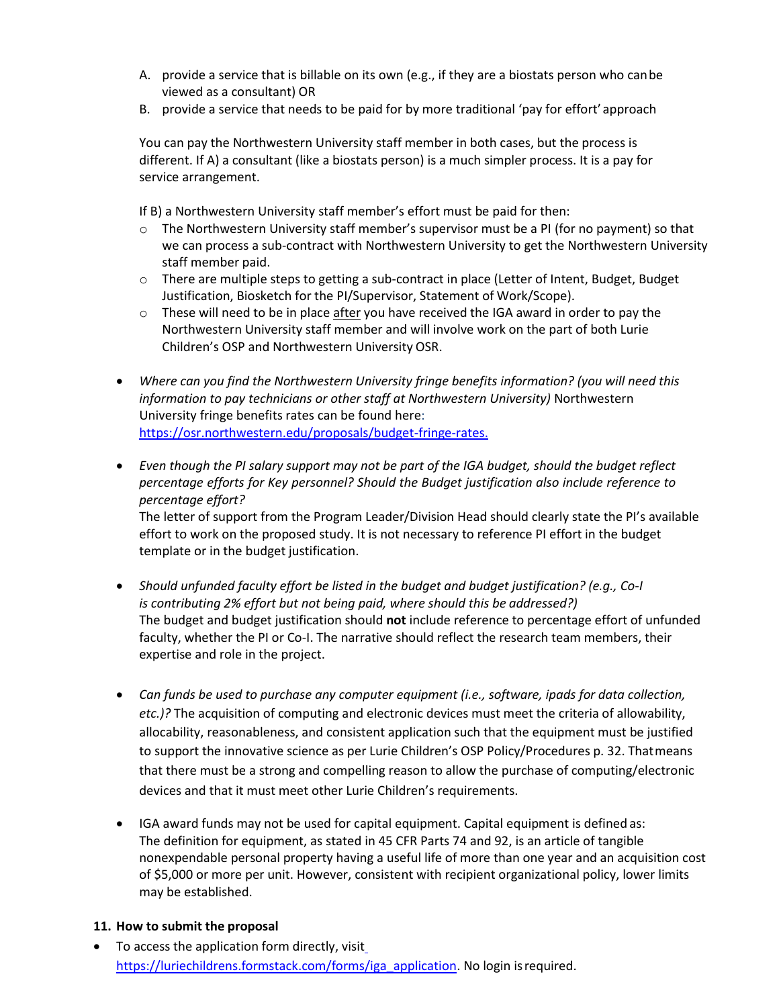- A. provide a service that is billable on its own (e.g., if they are a biostats person who canbe viewed as a consultant) OR
- B. provide a service that needs to be paid for by more traditional 'pay for effort' approach

You can pay the Northwestern University staff member in both cases, but the process is different. If A) a consultant (like a biostats person) is a much simpler process. It is a pay for service arrangement.

If B) a Northwestern University staff member's effort must be paid for then:

- o The Northwestern University staff member's supervisor must be a PI (for no payment) so that we can process a sub-contract with Northwestern University to get the Northwestern University staff member paid.
- o There are multiple steps to getting a sub-contract in place (Letter of Intent, Budget, Budget Justification, Biosketch for the PI/Supervisor, Statement of Work/Scope).
- $\circ$  These will need to be in place after you have received the IGA award in order to pay the Northwestern University staff member and will involve work on the part of both Lurie Children's OSP and Northwestern University OSR.
- *Where can you find the Northwestern University fringe benefits information? (you will need this information to pay technicians or other staff at Northwestern University)* Northwestern University fringe benefits rates can be found here[:](https://osr.northwestern.edu/proposals/budget-fringe-rates) [https://osr.northwestern.edu/proposals/budget-fringe-rates.](https://osr.northwestern.edu/proposals/budget-fringe-rates)
- *Even though the PI salary support may not be part of the IGA budget, should the budget reflect percentage efforts for Key personnel? Should the Budget justification also include reference to percentage effort?*

The letter of support from the Program Leader/Division Head should clearly state the PI's available effort to work on the proposed study. It is not necessary to reference PI effort in the budget template or in the budget justification.

- *Should unfunded faculty effort be listed in the budget and budget justification? (e.g., Co-I is contributing 2% effort but not being paid, where should this be addressed?)* The budget and budget justification should **not** include reference to percentage effort of unfunded faculty, whether the PI or Co-I. The narrative should reflect the research team members, their expertise and role in the project.
- *Can funds be used to purchase any computer equipment (i.e., software, ipads for data collection, etc.)?* The acquisition of computing and electronic devices must meet the criteria of allowability, allocability, reasonableness, and consistent application such that the equipment must be justified to support the innovative science as per Lurie Children's OSP Policy/Procedures p. 32. Thatmeans that there must be a strong and compelling reason to allow the purchase of computing/electronic devices and that it must meet other Lurie Children's requirements.
- IGA award funds may not be used for capital equipment. Capital equipment is defined as: The definition for equipment, as stated in 45 CFR Parts 74 and 92, is an article of tangible nonexpendable personal property having a useful life of more than one year and an acquisition cost of \$5,000 or more per unit. However, consistent with recipient organizational policy, lower limits may be established.

#### **11. How to submit the proposal**

• To access the application form directly, visi[t](https://luriechildrens.formstack.com/forms/iga_application) [https://luriechildrens.formstack.com/forms/iga\\_application.](https://luriechildrens.formstack.com/forms/iga_application) No login isrequired.